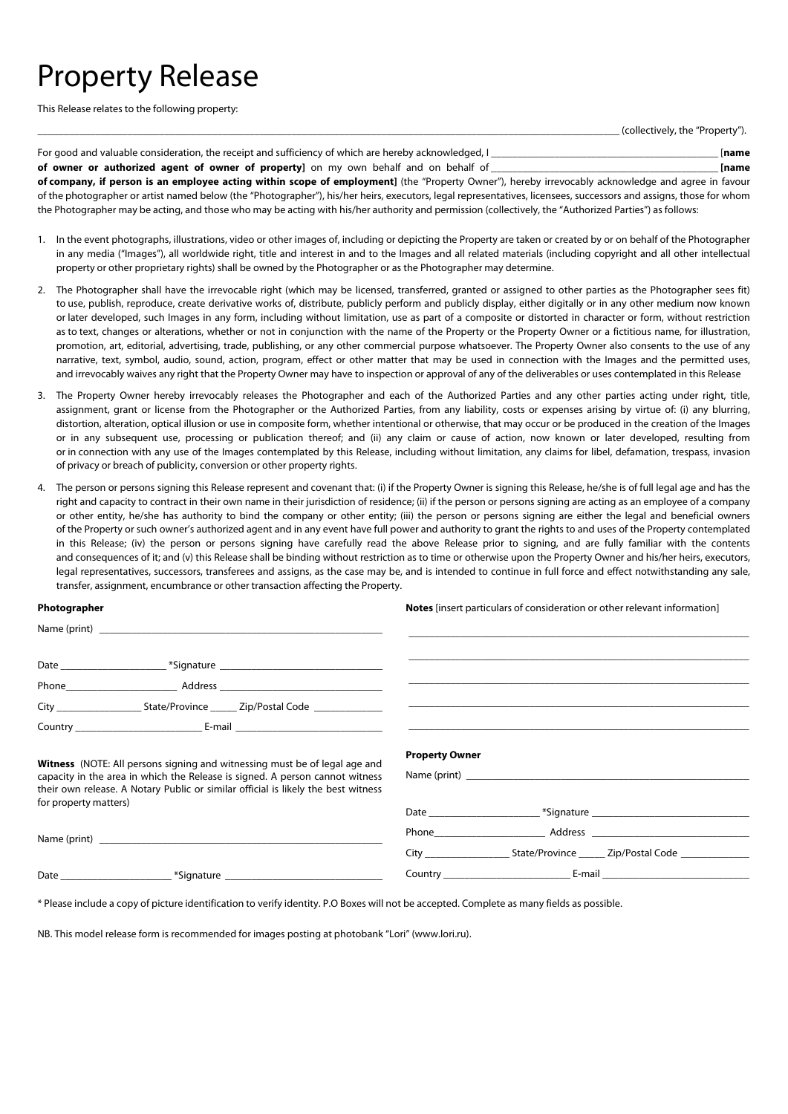## Property Release

This Release relates to the following property:

(collectively, the "Property").

| For good and valuable consideration, the receipt and sufficiency of which are hereby acknowledged, I                                             | <b>Iname</b> |
|--------------------------------------------------------------------------------------------------------------------------------------------------|--------------|
| of owner or authorized agent of owner of property] on my own behalf and on behalf of                                                             | <b>Iname</b> |
| of company if person is an employee acting within scope of employment] (the "Property Owner") hereby irrevocably acknowledge and agree in favour |              |

**of company, if person is an employee acting within scope of employment]** (the "Property Owner"), hereby irrevocably acknowledge and agree in favour of the photographer or artist named below (the "Photographer"), his/her heirs, executors, legal representatives, licensees, successors and assigns, those for whom the Photographer may be acting, and those who may be acting with his/her authority and permission (collectively, the "Authorized Parties") as follows:

- 1. In the event photographs, illustrations, video or other images of, including or depicting the Property are taken or created by or on behalf of the Photographer in any media ("Images"), all worldwide right, title and interest in and to the Images and all related materials (including copyright and all other intellectual property or other proprietary rights) shall be owned by the Photographer or as the Photographer may determine.
- 2. The Photographer shall have the irrevocable right (which may be licensed, transferred, granted or assigned to other parties as the Photographer sees fit) to use, publish, reproduce, create derivative works of, distribute, publicly perform and publicly display, either digitally or in any other medium now known or later developed, such Images in any form, including without limitation, use as part of a composite or distorted in character or form, without restriction as to text, changes or alterations, whether or not in conjunction with the name of the Property or the Property Owner or a fictitious name, for illustration, promotion, art, editorial, advertising, trade, publishing, or any other commercial purpose whatsoever. The Property Owner also consents to the use of any narrative, text, symbol, audio, sound, action, program, effect or other matter that may be used in connection with the Images and the permitted uses, and irrevocably waives any right that the Property Owner may have to inspection or approval of any of the deliverables or uses contemplated in this Release
- 3. The Property Owner hereby irrevocably releases the Photographer and each of the Authorized Parties and any other parties acting under right, title, assignment, grant or license from the Photographer or the Authorized Parties, from any liability, costs or expenses arising by virtue of: (i) any blurring, distortion, alteration, optical illusion or use in composite form, whether intentional or otherwise, that may occur or be produced in the creation of the Images or in any subsequent use, processing or publication thereof; and (ii) any claim or cause of action, now known or later developed, resulting from or in connection with any use of the Images contemplated by this Release, including without limitation, any claims for libel, defamation, trespass, invasion of privacy or breach of publicity, conversion or other property rights.
- 4. The person or persons signing this Release represent and covenant that: (i) if the Property Owner is signing this Release, he/she is of full legal age and has the right and capacity to contract in their own name in their jurisdiction of residence; (ii) if the person or persons signing are acting as an employee of a company or other entity, he/she has authority to bind the company or other entity; (iii) the person or persons signing are either the legal and beneficial owners of the Property or such owner's authorized agent and in any event have full power and authority to grant the rights to and uses of the Property contemplated in this Release; (iv) the person or persons signing have carefully read the above Release prior to signing, and are fully familiar with the contents and consequences of it; and (v) this Release shall be binding without restriction as to time or otherwise upon the Property Owner and his/her heirs, executors, legal representatives, successors, transferees and assigns, as the case may be, and is intended to continue in full force and effect notwithstanding any sale, transfer, assignment, encumbrance or other transaction affecting the Property.

## **Photographer**  Name (print)

**Notes** [insert particulars of consideration or other relevant information]

| Witness (NOTE: All persons signing and witnessing must be of legal age and<br>capacity in the area in which the Release is signed. A person cannot witness<br>their own release. A Notary Public or similar official is likely the best witness<br>for property matters) |  | <b>Property Owner</b><br>Name (print) |                                      |
|--------------------------------------------------------------------------------------------------------------------------------------------------------------------------------------------------------------------------------------------------------------------------|--|---------------------------------------|--------------------------------------|
|                                                                                                                                                                                                                                                                          |  |                                       |                                      |
| Name (print) and the same state of the state of the state of the state of the state of the state of the state of the state of the state of the state of the state of the state of the state of the state of the state of the s                                           |  |                                       | Phone <b>Address Address Address</b> |
|                                                                                                                                                                                                                                                                          |  |                                       |                                      |
|                                                                                                                                                                                                                                                                          |  |                                       |                                      |

\* Please include a copy of picture identification to verify identity. P.O Boxes will not be accepted. Complete as many fields as possible.

NB. This model release form is recommended for images posting at photobank "Lori" (www.lori.ru).